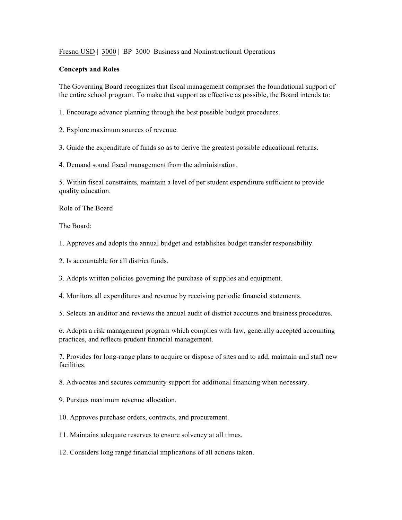Fresno USD | 3000 | BP 3000 Business and Noninstructional Operations

## **Concepts and Roles**

The Governing Board recognizes that fiscal management comprises the foundational support of the entire school program. To make that support as effective as possible, the Board intends to:

1. Encourage advance planning through the best possible budget procedures.

2. Explore maximum sources of revenue.

3. Guide the expenditure of funds so as to derive the greatest possible educational returns.

4. Demand sound fiscal management from the administration.

5. Within fiscal constraints, maintain a level of per student expenditure sufficient to provide quality education.

Role of The Board

The Board:

1. Approves and adopts the annual budget and establishes budget transfer responsibility.

2. Is accountable for all district funds.

3. Adopts written policies governing the purchase of supplies and equipment.

4. Monitors all expenditures and revenue by receiving periodic financial statements.

5. Selects an auditor and reviews the annual audit of district accounts and business procedures.

6. Adopts a risk management program which complies with law, generally accepted accounting practices, and reflects prudent financial management.

7. Provides for long-range plans to acquire or dispose of sites and to add, maintain and staff new facilities.

8. Advocates and secures community support for additional financing when necessary.

9. Pursues maximum revenue allocation.

10. Approves purchase orders, contracts, and procurement.

11. Maintains adequate reserves to ensure solvency at all times.

12. Considers long range financial implications of all actions taken.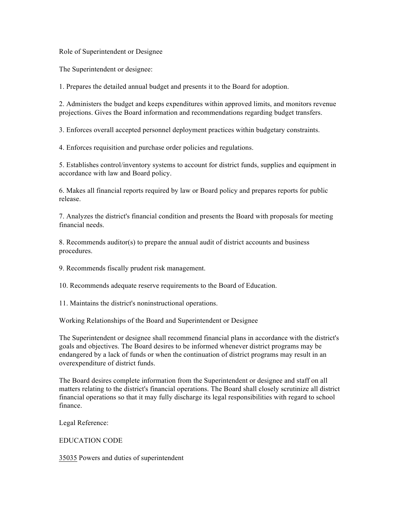Role of Superintendent or Designee

The Superintendent or designee:

1. Prepares the detailed annual budget and presents it to the Board for adoption.

2. Administers the budget and keeps expenditures within approved limits, and monitors revenue projections. Gives the Board information and recommendations regarding budget transfers.

3. Enforces overall accepted personnel deployment practices within budgetary constraints.

4. Enforces requisition and purchase order policies and regulations.

5. Establishes control/inventory systems to account for district funds, supplies and equipment in accordance with law and Board policy.

6. Makes all financial reports required by law or Board policy and prepares reports for public release.

7. Analyzes the district's financial condition and presents the Board with proposals for meeting financial needs.

8. Recommends auditor(s) to prepare the annual audit of district accounts and business procedures.

9. Recommends fiscally prudent risk management.

10. Recommends adequate reserve requirements to the Board of Education.

11. Maintains the district's noninstructional operations.

Working Relationships of the Board and Superintendent or Designee

The Superintendent or designee shall recommend financial plans in accordance with the district's goals and objectives. The Board desires to be informed whenever district programs may be endangered by a lack of funds or when the continuation of district programs may result in an overexpenditure of district funds.

The Board desires complete information from the Superintendent or designee and staff on all matters relating to the district's financial operations. The Board shall closely scrutinize all district financial operations so that it may fully discharge its legal responsibilities with regard to school finance.

Legal Reference:

## EDUCATION CODE

35035 Powers and duties of superintendent